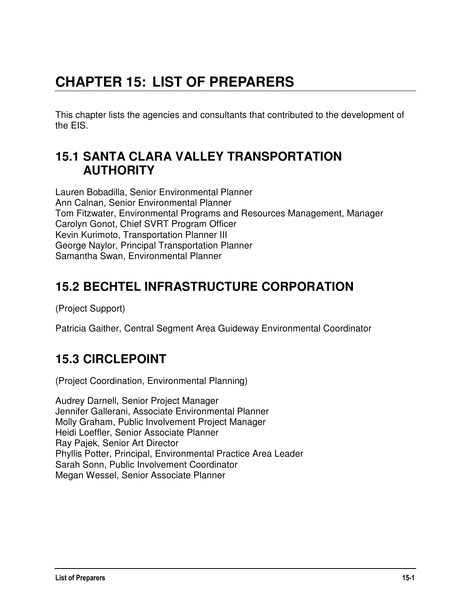# **CHAPTER 15: LIST OF PREPARERS**

This chapter lists the agencies and consultants that contributed to the development of the EIS.

#### **15.1 SANTA CLARA VALLEY TRANSPORTATION AUTHORITY**

Lauren Bobadilla, Senior Environmental Planner Ann Calnan, Senior Environmental Planner Tom Fitzwater, Environmental Programs and Resources Management, Manager Carolyn Gonot, Chief SVRT Program Officer Kevin Kurimoto, Transportation Planner III George Naylor, Principal Transportation Planner Samantha Swan, Environmental Planner

## **15.2 BECHTEL INFRASTRUCTURE CORPORATION**

(Project Support)

Patricia Gaither, Central Segment Area Guideway Environmental Coordinator

# **15.3 CIRCLEPOINT**

(Project Coordination, Environmental Planning)

Audrey Darnell, Senior Project Manager Jennifer Gallerani, Associate Environmental Planner Molly Graham, Public Involvement Project Manager Heidi Loeffler, Senior Associate Planner Ray Pajek, Senior Art Director Phyllis Potter, Principal, Environmental Practice Area Leader Sarah Sonn, Public Involvement Coordinator Megan Wessel, Senior Associate Planner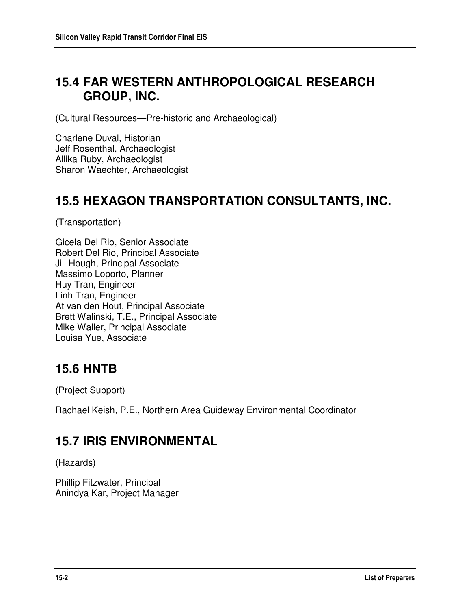#### **15.4 FAR WESTERN ANTHROPOLOGICAL RESEARCH GROUP, INC.**

(Cultural Resources—Pre-historic and Archaeological)

Charlene Duval, Historian Jeff Rosenthal, Archaeologist Allika Ruby, Archaeologist Sharon Waechter, Archaeologist

#### **15.5 HEXAGON TRANSPORTATION CONSULTANTS, INC.**

(Transportation)

Gicela Del Rio, Senior Associate Robert Del Rio, Principal Associate Jill Hough, Principal Associate Massimo Loporto, Planner Huy Tran, Engineer Linh Tran, Engineer At van den Hout, Principal Associate Brett Walinski, T.E., Principal Associate Mike Waller, Principal Associate Louisa Yue, Associate

## **15.6 HNTB**

(Project Support)

Rachael Keish, P.E., Northern Area Guideway Environmental Coordinator

## **15.7 IRIS ENVIRONMENTAL**

(Hazards)

Phillip Fitzwater, Principal Anindya Kar, Project Manager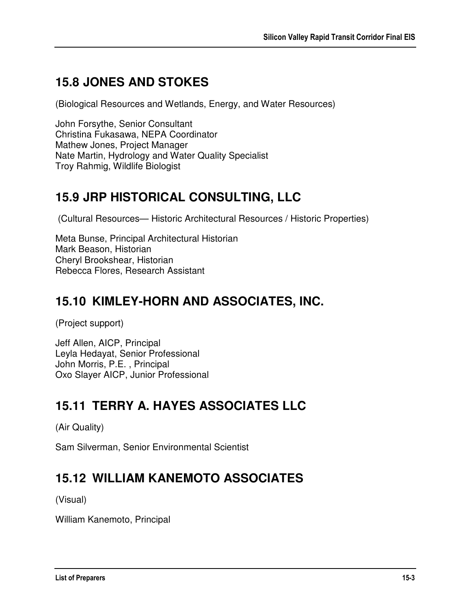# **15.8 JONES AND STOKES**

(Biological Resources and Wetlands, Energy, and Water Resources)

John Forsythe, Senior Consultant Christina Fukasawa, NEPA Coordinator Mathew Jones, Project Manager Nate Martin, Hydrology and Water Quality Specialist Troy Rahmig, Wildlife Biologist

## **15.9 JRP HISTORICAL CONSULTING, LLC**

(Cultural Resources— Historic Architectural Resources / Historic Properties)

Meta Bunse, Principal Architectural Historian Mark Beason, Historian Cheryl Brookshear, Historian Rebecca Flores, Research Assistant

## **15.10 KIMLEY-HORN AND ASSOCIATES, INC.**

(Project support)

Jeff Allen, AICP, Principal Leyla Hedayat, Senior Professional John Morris, P.E. , Principal Oxo Slayer AICP, Junior Professional

## **15.11 TERRY A. HAYES ASSOCIATES LLC**

(Air Quality)

Sam Silverman, Senior Environmental Scientist

## **15.12 WILLIAM KANEMOTO ASSOCIATES**

(Visual)

William Kanemoto, Principal